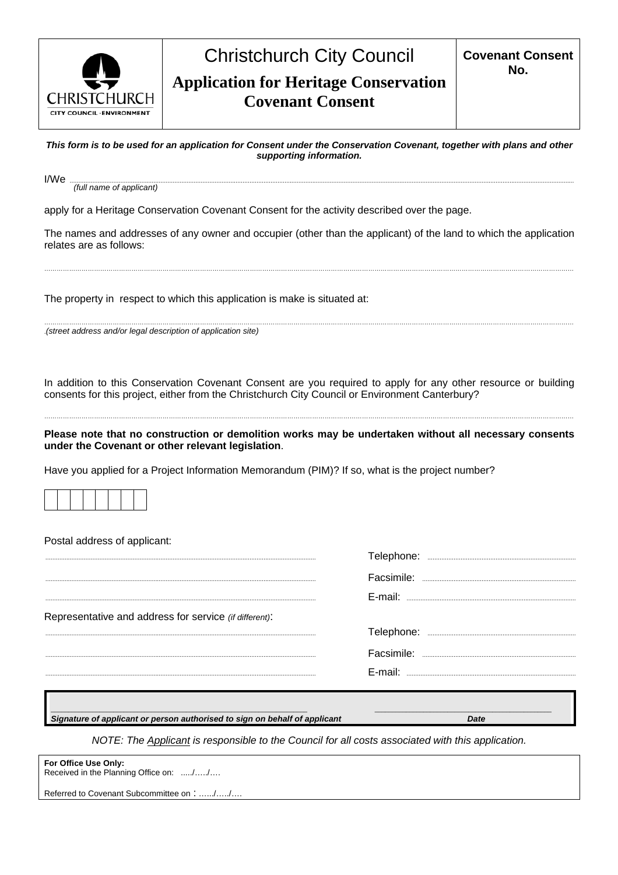

## Christchurch City Council **Application for Heritage Conservation Covenant Consent**

*This form is to be used for an application for Consent under the Conservation Covenant, together with plans and other supporting information.* 

I/We ................................................................................................................................................................................................................................................................................................. *(full name of applicant)* 

apply for a Heritage Conservation Covenant Consent for the activity described over the page.

The names and addresses of any owner and occupier (other than the applicant) of the land to which the application relates are as follows:

…………………………………………………………………………………………………………………………………………………………………………………………………………………………………

The property in respect to which this application is make is situated at:

………………………………………………………………………………………………………………………………………………………………………………………………………………………………… .*(street address and/or legal description of application site)* 

In addition to this Conservation Covenant Consent are you required to apply for any other resource or building consents for this project, either from the Christchurch City Council or Environment Canterbury?

**Please note that no construction or demolition works may be undertaken without all necessary consents under the Covenant or other relevant legislation**.

…………………………………………………………………………………………………………………………………………………………………………………………………………………………………

Have you applied for a Project Information Memorandum (PIM)? If so, what is the project number?

Postal address of applicant:

|                                                        | Telephone: |
|--------------------------------------------------------|------------|
|                                                        | Facsimile: |
|                                                        | E-mail:    |
| Representative and address for service (if different): |            |
|                                                        |            |
|                                                        |            |
|                                                        | $F$ -mail: |
|                                                        |            |

*Signature of applicant or person authorised to sign on behalf of applicant Date*

*NOTE: The Applicant is responsible to the Council for all costs associated with this application.* 

\_\_\_\_\_\_\_\_\_\_\_\_\_\_\_\_\_\_\_\_\_\_\_\_\_\_\_\_\_\_\_\_\_\_\_\_\_\_\_\_\_\_\_\_\_\_\_\_\_\_\_\_\_\_\_\_\_\_\_\_\_\_\_\_\_\_\_\_\_\_\_\_\_\_ \_\_\_\_\_\_\_\_\_\_\_\_\_\_\_\_\_\_\_\_\_\_\_\_\_\_\_\_\_\_\_\_\_\_\_\_\_\_\_\_\_\_\_\_\_\_\_\_\_\_\_

**For Office Use Only:** Received in the Planning Office on: ...../...../....

Referred to Covenant Subcommittee on : ….../…../….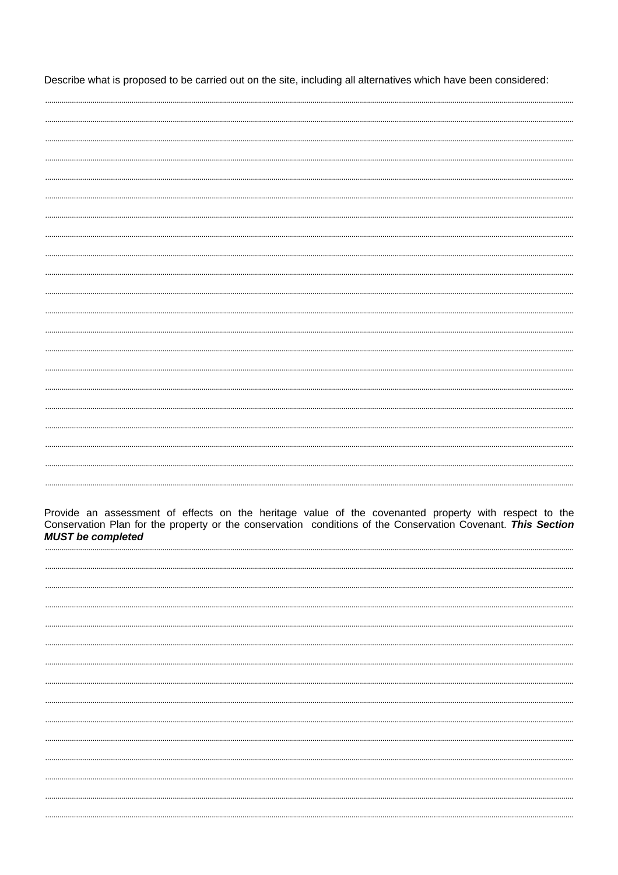Describe what is proposed to be carried out on the site, including all alternatives which have been considered:

Provide an assessment of effects on the heritage value of the covenanted property with respect to the Conservation Plan for the property or the conservation conditions of the Conservation Covenant. This Section **MUST** be completed